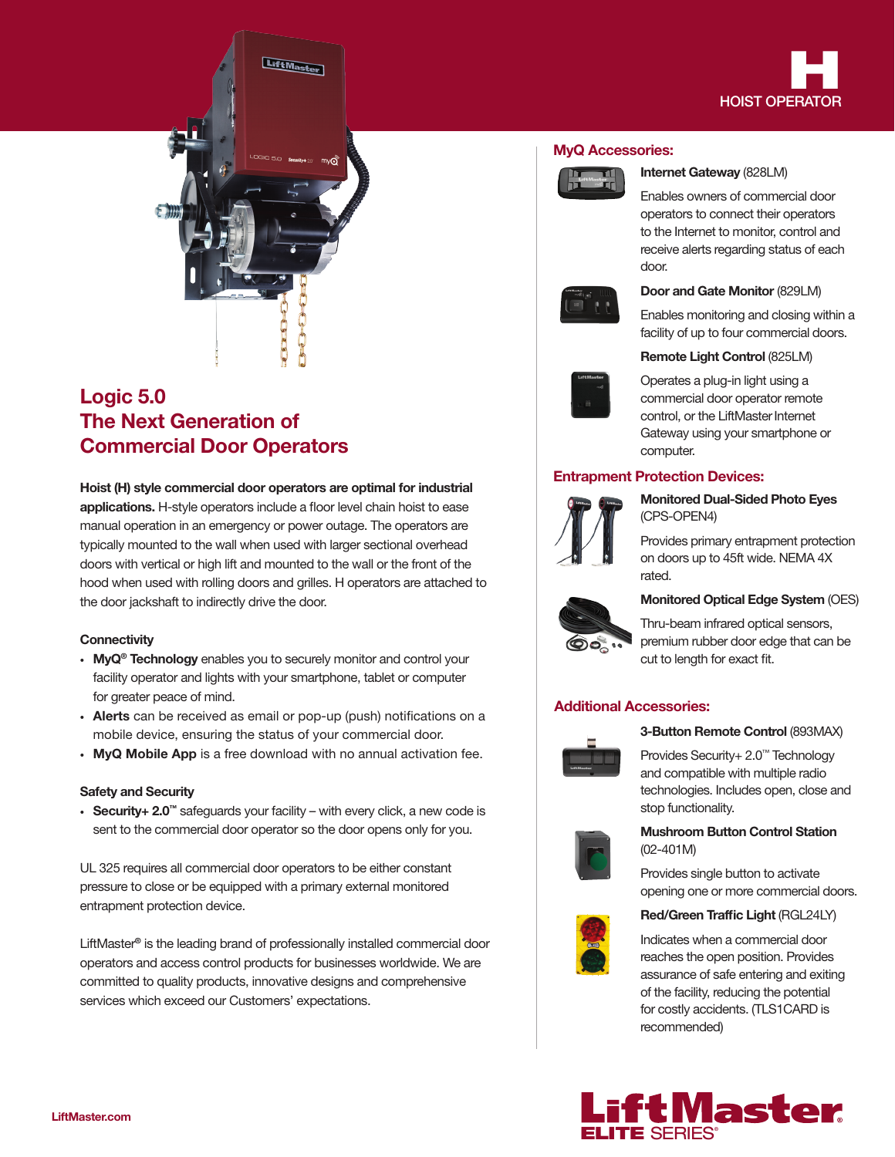

# Logic 5.0 The Next Generation of Commercial Door Operators

# Hoist (H) style commercial door operators are optimal for industrial applications. H-style operators include a floor level chain hoist to ease manual operation in an emergency or power outage. The operators are typically mounted to the wall when used with larger sectional overhead doors with vertical or high lift and mounted to the wall or the front of the hood when used with rolling doors and grilles. H operators are attached to the door jackshaft to indirectly drive the door.

### **Connectivity**

- MyQ<sup>®</sup> Technology enables you to securely monitor and control your facility operator and lights with your smartphone, tablet or computer for greater peace of mind.
- Alerts can be received as email or pop-up (push) notifications on a mobile device, ensuring the status of your commercial door.
- MyQ Mobile App is a free download with no annual activation fee.

### Safety and Security

• Security+ 2.0™ safeguards your facility – with every click, a new code is sent to the commercial door operator so the door opens only for you.

UL 325 requires all commercial door operators to be either constant pressure to close or be equipped with a primary external monitored entrapment protection device.

LiftMaster® is the leading brand of professionally installed commercial door operators and access control products for businesses worldwide. We are committed to quality products, innovative designs and comprehensive services which exceed our Customers' expectations.

### MyQ Accessories:



### Internet Gateway (828LM)

Enables owners of commercial door operators to connect their operators to the Internet to monitor, control and receive alerts regarding status of each door.



### Door and Gate Monitor (829LM)

Enables monitoring and closing within a facility of up to four commercial doors.



### Remote Light Control (825LM)

Operates a plug-in light using a commercial door operator remote control, or the LiftMaster Internet Gateway using your smartphone or computer.

## Entrapment Protection Devices:



Monitored Dual-Sided Photo Eyes (CPS-OPEN4)

Provides primary entrapment protection on doors up to 45ft wide. NEMA 4X rated.



Thru-beam infrared optical sensors, premium rubber door edge that can be cut to length for exact fit.

### Additional Accessories:



### 3-Button Remote Control (893MAX)

Provides Security+ 2.0™ Technology and compatible with multiple radio technologies. Includes open, close and stop functionality.



### Mushroom Button Control Station (02-401M)

Provides single button to activate opening one or more commercial doors.

### Red/Green Traffic Light (RGL24LY)



Indicates when a commercial door reaches the open position. Provides assurance of safe entering and exiting of the facility, reducing the potential for costly accidents. (TLS1CARD is recommended)